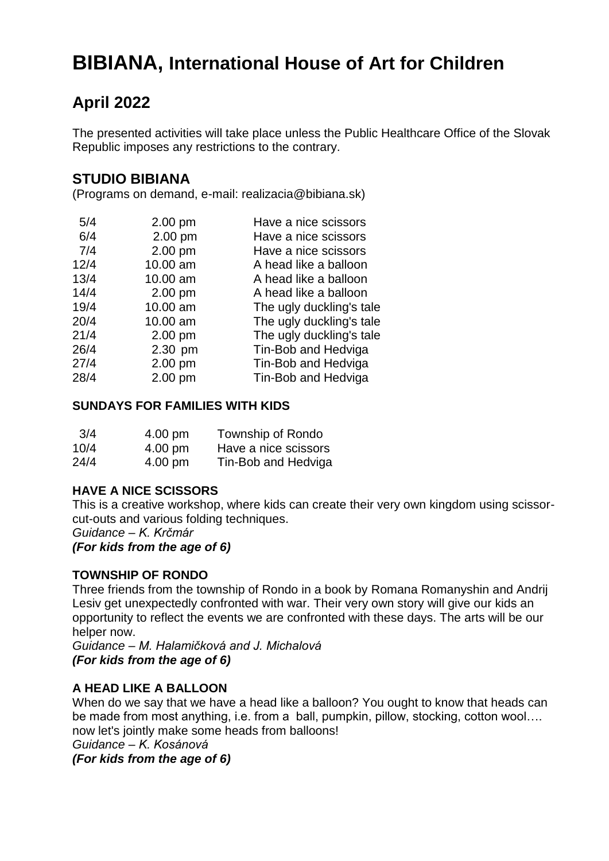# **BIBIANA, International House of Art for Children**

## **April 2022**

The presented activities will take place unless the Public Healthcare Office of the Slovak Republic imposes any restrictions to the contrary.

## **STUDIO BIBIANA**

(Programs on demand, e-mail: realizacia@bibiana.sk)

| 5/4  | 2.00 pm  | Have a nice scissors     |
|------|----------|--------------------------|
| 6/4  | 2.00 pm  | Have a nice scissors     |
| 7/4  | 2.00 pm  | Have a nice scissors     |
| 12/4 | 10.00 am | A head like a balloon    |
| 13/4 | 10.00 am | A head like a balloon    |
| 14/4 | 2.00 pm  | A head like a balloon    |
| 19/4 | 10.00 am | The ugly duckling's tale |
| 20/4 | 10.00 am | The ugly duckling's tale |
| 21/4 | 2.00 pm  | The ugly duckling's tale |
| 26/4 | 2.30 pm  | Tin-Bob and Hedviga      |
| 27/4 | 2.00 pm  | Tin-Bob and Hedviga      |
| 28/4 | 2.00 pm  | Tin-Bob and Hedviga      |
|      |          |                          |

## **SUNDAYS FOR FAMILIES WITH KIDS**

| 3/4  | 4.00 pm           | Township of Rondo    |
|------|-------------------|----------------------|
| 10/4 | $4.00 \text{ pm}$ | Have a nice scissors |
| 24/4 | $4.00 \text{ pm}$ | Tin-Bob and Hedviga  |

## **HAVE A NICE SCISSORS**

This is a creative workshop, where kids can create their very own kingdom using scissorcut-outs and various folding techniques.

*Guidance – K. Krčmár* 

*(For kids from the age of 6)* 

## **TOWNSHIP OF RONDO**

Three friends from the township of Rondo in a book by Romana Romanyshin and Andrij Lesiv get unexpectedly confronted with war. Their very own story will give our kids an opportunity to reflect the events we are confronted with these days. The arts will be our helper now.

*Guidance – M. Halamičková and J. Michalová (For kids from the age of 6)* 

## **A HEAD LIKE A BALLOON**

When do we say that we have a head like a balloon? You ought to know that heads can be made from most anything, i.e. from a ball, pumpkin, pillow, stocking, cotton wool…. now let's jointly make some heads from balloons!

*Guidance – K. Kosánová*

*(For kids from the age of 6)*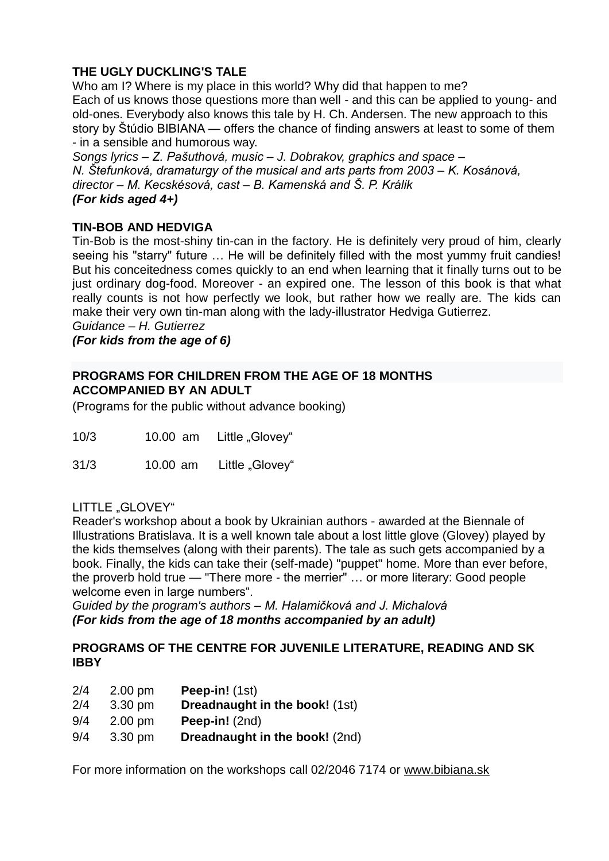## **THE UGLY DUCKLING'S TALE**

Who am I? Where is my place in this world? Why did that happen to me? Each of us knows those questions more than well - and this can be applied to young- and old-ones. Everybody also knows this tale by H. Ch. Andersen. The new approach to this story by Štúdio BIBIANA — offers the chance of finding answers at least to some of them - in a sensible and humorous way.

*Songs lyrics – Z. Pašuthová, music – J. Dobrakov, graphics and space – N. Štefunková, dramaturgy of the musical and arts parts from 2003 – K. Kosánová, director – M. Kecskésová, cast – B. Kamenská and Š. P. Králik (For kids aged 4+)* 

## **TIN-BOB AND HEDVIGA**

Tin-Bob is the most-shiny tin-can in the factory. He is definitely very proud of him, clearly seeing his "starry" future … He will be definitely filled with the most yummy fruit candies! But his conceitedness comes quickly to an end when learning that it finally turns out to be just ordinary dog-food. Moreover - an expired one. The lesson of this book is that what really counts is not how perfectly we look, but rather how we really are. The kids can make their very own tin-man along with the lady-illustrator Hedviga Gutierrez.

*Guidance – H. Gutierrez* 

*(For kids from the age of 6)*

## **PROGRAMS FOR CHILDREN FROM THE AGE OF 18 MONTHS ACCOMPANIED BY AN ADULT**

(Programs for the public without advance booking)

| 10/3 | 10.00 am | Little "Glovey" |
|------|----------|-----------------|
|------|----------|-----------------|

31/3 10.00 am Little "Glovey"

#### LITTLE "GLOVEY"

Reader's workshop about a book by Ukrainian authors - awarded at the Biennale of Illustrations Bratislava. It is a well known tale about a lost little glove (Glovey) played by the kids themselves (along with their parents). The tale as such gets accompanied by a book. Finally, the kids can take their (self-made) "puppet" home. More than ever before, the proverb hold true — "There more - the merrier" … or more literary: Good people welcome even in large numbers".

*Guided by the program's authors – M. Halamičková and J. Michalová (For kids from the age of 18 months accompanied by an adult)* 

#### **PROGRAMS OF THE CENTRE FOR JUVENILE LITERATURE, READING AND SK IBBY**

| 2/4 | $2.00$ pm         | Peep-in! (1st)                        |
|-----|-------------------|---------------------------------------|
| 2/4 | 3.30 pm           | <b>Dreadnaught in the book!</b> (1st) |
| 9/4 | $2.00$ pm         | Peep-in! (2nd)                        |
| 9/4 | $3.30 \text{ pm}$ | Dreadnaught in the book! (2nd)        |

For more information on the workshops call 02/2046 7174 or [www.bibiana.sk](http://www.bibiana.sk/)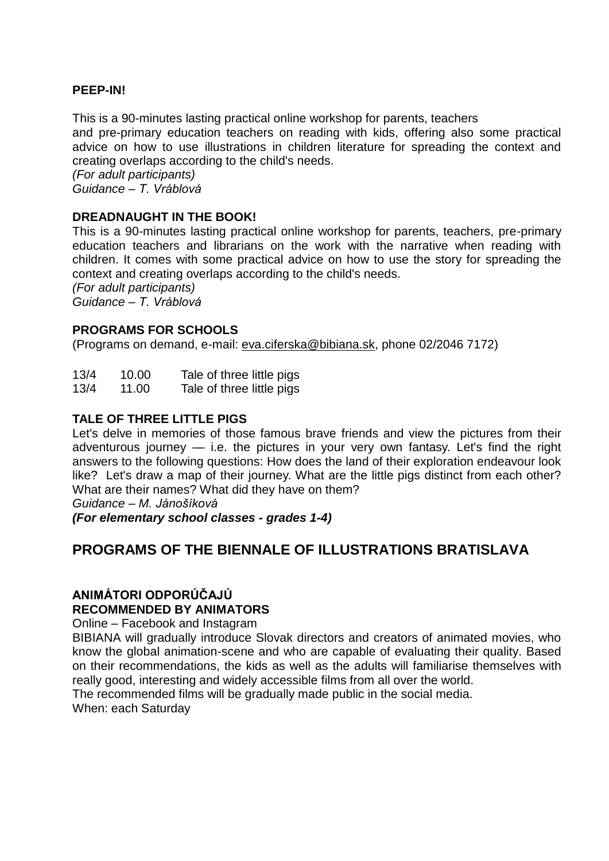#### **PEEP-IN!**

This is a 90-minutes lasting practical online workshop for parents, teachers and pre-primary education teachers on reading with kids, offering also some practical advice on how to use illustrations in children literature for spreading the context and creating overlaps according to the child's needs.

*(For adult participants) Guidance – T. Vráblová* 

#### **DREADNAUGHT IN THE BOOK!**

This is a 90-minutes lasting practical online workshop for parents, teachers, pre-primary education teachers and librarians on the work with the narrative when reading with children. It comes with some practical advice on how to use the story for spreading the context and creating overlaps according to the child's needs.

*(For adult participants) Guidance – T. Vráblová* 

#### **PROGRAMS FOR SCHOOLS**

(Programs on demand, e-mail: [eva.ciferska@bibiana.sk,](mailto:eva.ciferska@bibiana.sk) phone 02/2046 7172)

| 13/4                 | 10.00    | Tale of three little pigs |
|----------------------|----------|---------------------------|
| $\sim$ $\sim$ $\sim$ | $\cdots$ | — 1 <i>1</i> 1 1          |

13/4 11.00 Tale of three little pigs

#### **TALE OF THREE LITTLE PIGS**

Let's delve in memories of those famous brave friends and view the pictures from their adventurous journey — i.e. the pictures in your very own fantasy. Let's find the right answers to the following questions: How does the land of their exploration endeavour look like? Let's draw a map of their journey. What are the little pigs distinct from each other? What are their names? What did they have on them?

*Guidance – M. Jánošíková* 

*(For elementary school classes - grades 1-4)*

## **PROGRAMS OF THE BIENNALE OF ILLUSTRATIONS BRATISLAVA**

## **ANIMÁTORI ODPORÚČAJÚ RECOMMENDED BY ANIMATORS**

Online – Facebook and Instagram

BIBIANA will gradually introduce Slovak directors and creators of animated movies, who know the global animation-scene and who are capable of evaluating their quality. Based on their recommendations, the kids as well as the adults will familiarise themselves with really good, interesting and widely accessible films from all over the world.

The recommended films will be gradually made public in the social media.

When: each Saturday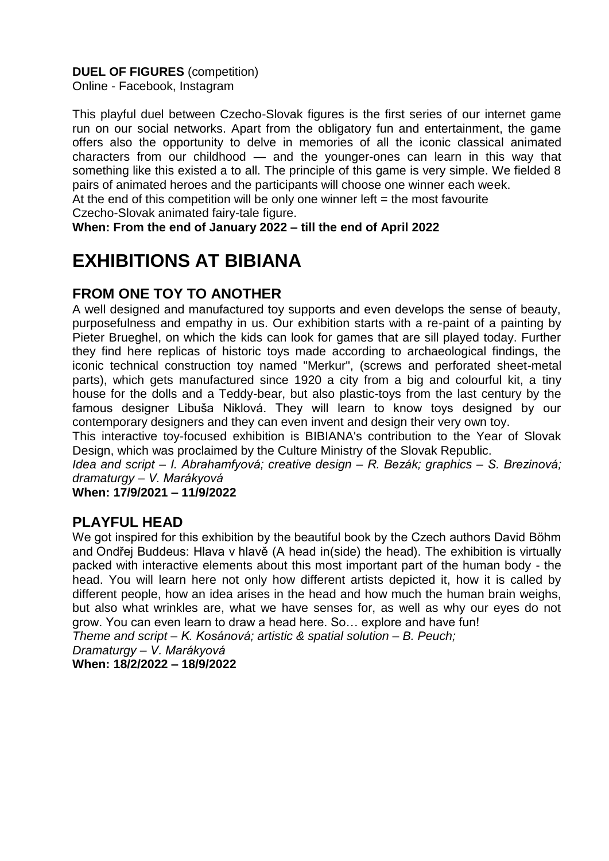## **DUEL OF FIGURES** (competition)

Online - Facebook, Instagram

This playful duel between Czecho-Slovak figures is the first series of our internet game run on our social networks. Apart from the obligatory fun and entertainment, the game offers also the opportunity to delve in memories of all the iconic classical animated characters from our childhood — and the younger-ones can learn in this way that something like this existed a to all. The principle of this game is very simple. We fielded 8 pairs of animated heroes and the participants will choose one winner each week.

At the end of this competition will be only one winner left  $=$  the most favourite

Czecho-Slovak animated fairy-tale figure.

**When: From the end of January 2022 – till the end of April 2022** 

# **EXHIBITIONS AT BIBIANA**

## **FROM ONE TOY TO ANOTHER**

A well designed and manufactured toy supports and even develops the sense of beauty, purposefulness and empathy in us. Our exhibition starts with a re-paint of a painting by Pieter Brueghel, on which the kids can look for games that are sill played today. Further they find here replicas of historic toys made according to archaeological findings, the iconic technical construction toy named "Merkur", (screws and perforated sheet-metal parts), which gets manufactured since 1920 a city from a big and colourful kit, a tiny house for the dolls and a Teddy-bear, but also plastic-toys from the last century by the famous designer Libuša Niklová. They will learn to know toys designed by our contemporary designers and they can even invent and design their very own toy.

This interactive toy-focused exhibition is BIBIANA's contribution to the Year of Slovak Design, which was proclaimed by the Culture Ministry of the Slovak Republic.

*Idea and script – I. Abrahamfyová; creative design – R. Bezák; graphics – S. Brezinová; dramaturgy – V. Marákyová* 

**When: 17/9/2021 – 11/9/2022**

## **PLAYFUL HEAD**

We got inspired for this exhibition by the beautiful book by the Czech authors David Böhm and Ondřej Buddeus: Hlava v hlavě (A head in(side) the head). The exhibition is virtually packed with interactive elements about this most important part of the human body - the head. You will learn here not only how different artists depicted it, how it is called by different people, how an idea arises in the head and how much the human brain weighs, but also what wrinkles are, what we have senses for, as well as why our eyes do not grow. You can even learn to draw a head here. So… explore and have fun!

*Theme and script – K. Kosánová; artistic & spatial solution – B. Peuch;*

*Dramaturgy – V. Marákyová*  **When: 18/2/2022 – 18/9/2022**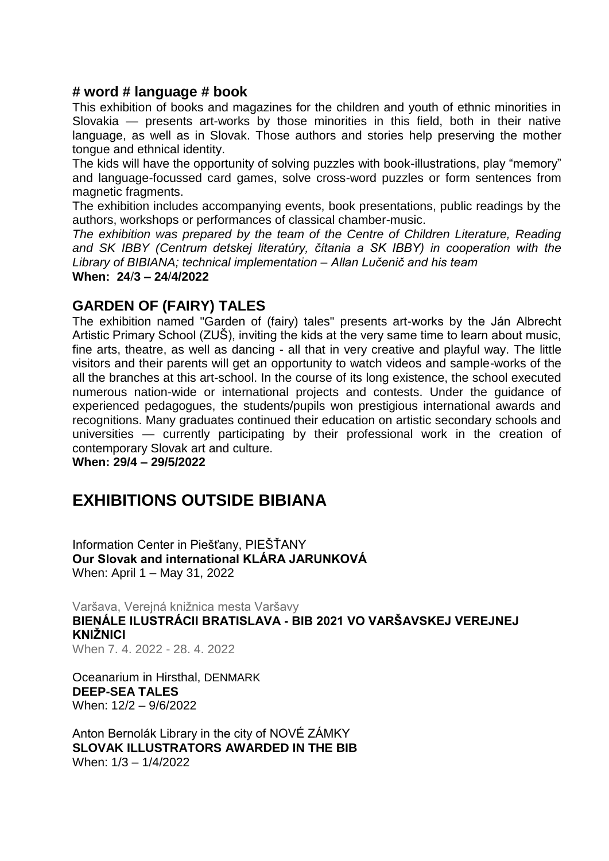## **# word # language # book**

This exhibition of books and magazines for the children and youth of ethnic minorities in Slovakia — presents art-works by those minorities in this field, both in their native language, as well as in Slovak. Those authors and stories help preserving the mother tongue and ethnical identity.

The kids will have the opportunity of solving puzzles with book-illustrations, play "memory" and language-focussed card games, solve cross-word puzzles or form sentences from magnetic fragments.

The exhibition includes accompanying events, book presentations, public readings by the authors, workshops or performances of classical chamber-music.

*The exhibition was prepared by the team of the Centre of Children Literature, Reading and SK IBBY (Centrum detskej literatúry, čítania a SK IBBY) in cooperation with the Library of BIBIANA; technical implementation – Allan Lučenič and his team*  **When: 24**/**3 – 24**/**4/2022** 

## **GARDEN OF (FAIRY) TALES**

The exhibition named "Garden of (fairy) tales" presents art-works by the Ján Albrecht Artistic Primary School (ZUŠ), inviting the kids at the very same time to learn about music, fine arts, theatre, as well as dancing - all that in very creative and playful way. The little visitors and their parents will get an opportunity to watch videos and sample-works of the all the branches at this art-school. In the course of its long existence, the school executed numerous nation-wide or international projects and contests. Under the guidance of experienced pedagogues, the students/pupils won prestigious international awards and recognitions. Many graduates continued their education on artistic secondary schools and universities — currently participating by their professional work in the creation of contemporary Slovak art and culture.

**When: 29/4 – 29/5/2022** 

## **EXHIBITIONS OUTSIDE BIBIANA**

Information Center in Piešťany, PIEŠŤANY **Our Slovak and international KLÁRA JARUNKOVÁ** When: April 1 – May 31, 2022

Varšava, Verejná knižnica mesta Varšavy **BIENÁLE ILUSTRÁCII BRATISLAVA - BIB 2021 VO VARŠAVSKEJ VEREJNEJ KNIŽNICI** When 7. 4. 2022 - 28. 4. 2022

Oceanarium in Hirsthal, DENMARK **DEEP-SEA TALES**  When: 12/2 – 9/6/2022

Anton Bernolák Library in the city of NOVÉ ZÁMKY **SLOVAK ILLUSTRATORS AWARDED IN THE BIB**  When: 1/3 – 1/4/2022